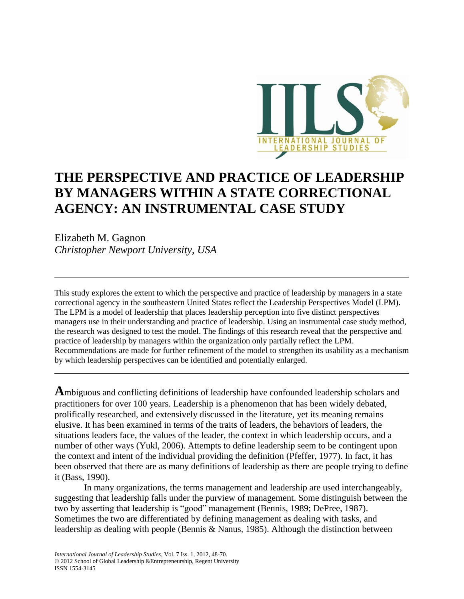

# **THE PERSPECTIVE AND PRACTICE OF LEADERSHIP BY MANAGERS WITHIN A STATE CORRECTIONAL AGENCY: AN INSTRUMENTAL CASE STUDY**

Elizabeth M. Gagnon *Christopher Newport University, USA*

This study explores the extent to which the perspective and practice of leadership by managers in a state correctional agency in the southeastern United States reflect the Leadership Perspectives Model (LPM). The LPM is a model of leadership that places leadership perception into five distinct perspectives managers use in their understanding and practice of leadership. Using an instrumental case study method, the research was designed to test the model. The findings of this research reveal that the perspective and practice of leadership by managers within the organization only partially reflect the LPM. Recommendations are made for further refinement of the model to strengthen its usability as a mechanism by which leadership perspectives can be identified and potentially enlarged.

**A**mbiguous and conflicting definitions of leadership have confounded leadership scholars and practitioners for over 100 years. Leadership is a phenomenon that has been widely debated, prolifically researched, and extensively discussed in the literature, yet its meaning remains elusive. It has been examined in terms of the traits of leaders, the behaviors of leaders, the situations leaders face, the values of the leader, the context in which leadership occurs, and a number of other ways (Yukl, 2006). Attempts to define leadership seem to be contingent upon the context and intent of the individual providing the definition (Pfeffer, 1977). In fact, it has been observed that there are as many definitions of leadership as there are people trying to define it (Bass, 1990).

In many organizations, the terms management and leadership are used interchangeably, suggesting that leadership falls under the purview of management. Some distinguish between the two by asserting that leadership is "good" management (Bennis, 1989; DePree, 1987). Sometimes the two are differentiated by defining management as dealing with tasks, and leadership as dealing with people (Bennis & Nanus, 1985). Although the distinction between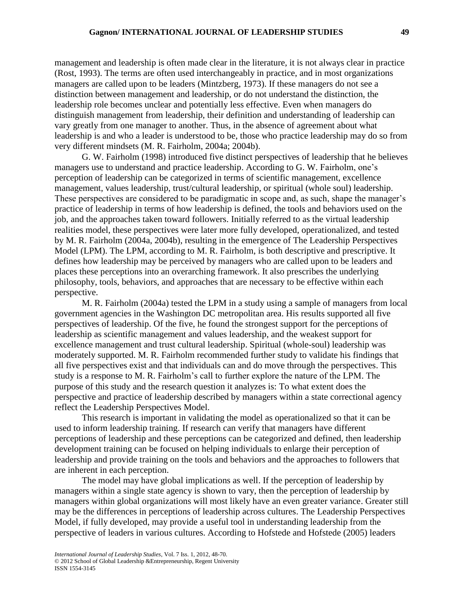management and leadership is often made clear in the literature, it is not always clear in practice (Rost, 1993). The terms are often used interchangeably in practice, and in most organizations managers are called upon to be leaders (Mintzberg, 1973). If these managers do not see a distinction between management and leadership, or do not understand the distinction, the leadership role becomes unclear and potentially less effective. Even when managers do distinguish management from leadership, their definition and understanding of leadership can vary greatly from one manager to another. Thus, in the absence of agreement about what leadership is and who a leader is understood to be, those who practice leadership may do so from very different mindsets (M. R. Fairholm, 2004a; 2004b).

G. W. Fairholm (1998) introduced five distinct perspectives of leadership that he believes managers use to understand and practice leadership. According to G. W. Fairholm, one's perception of leadership can be categorized in terms of scientific management, excellence management, values leadership, trust/cultural leadership, or spiritual (whole soul) leadership. These perspectives are considered to be paradigmatic in scope and, as such, shape the manager's practice of leadership in terms of how leadership is defined, the tools and behaviors used on the job, and the approaches taken toward followers. Initially referred to as the virtual leadership realities model, these perspectives were later more fully developed, operationalized, and tested by M. R. Fairholm (2004a, 2004b), resulting in the emergence of The Leadership Perspectives Model (LPM). The LPM, according to M. R. Fairholm, is both descriptive and prescriptive. It defines how leadership may be perceived by managers who are called upon to be leaders and places these perceptions into an overarching framework. It also prescribes the underlying philosophy, tools, behaviors, and approaches that are necessary to be effective within each perspective.

M. R. Fairholm (2004a) tested the LPM in a study using a sample of managers from local government agencies in the Washington DC metropolitan area. His results supported all five perspectives of leadership. Of the five, he found the strongest support for the perceptions of leadership as scientific management and values leadership, and the weakest support for excellence management and trust cultural leadership. Spiritual (whole-soul) leadership was moderately supported. M. R. Fairholm recommended further study to validate his findings that all five perspectives exist and that individuals can and do move through the perspectives. This study is a response to M. R. Fairholm's call to further explore the nature of the LPM. The purpose of this study and the research question it analyzes is: To what extent does the perspective and practice of leadership described by managers within a state correctional agency reflect the Leadership Perspectives Model.

This research is important in validating the model as operationalized so that it can be used to inform leadership training. If research can verify that managers have different perceptions of leadership and these perceptions can be categorized and defined, then leadership development training can be focused on helping individuals to enlarge their perception of leadership and provide training on the tools and behaviors and the approaches to followers that are inherent in each perception.

The model may have global implications as well. If the perception of leadership by managers within a single state agency is shown to vary, then the perception of leadership by managers within global organizations will most likely have an even greater variance. Greater still may be the differences in perceptions of leadership across cultures. The Leadership Perspectives Model, if fully developed, may provide a useful tool in understanding leadership from the perspective of leaders in various cultures. According to Hofstede and Hofstede (2005) leaders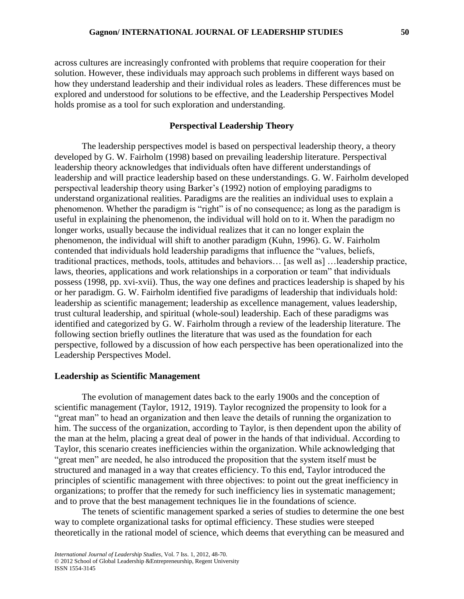across cultures are increasingly confronted with problems that require cooperation for their solution. However, these individuals may approach such problems in different ways based on how they understand leadership and their individual roles as leaders. These differences must be explored and understood for solutions to be effective, and the Leadership Perspectives Model holds promise as a tool for such exploration and understanding.

## **Perspectival Leadership Theory**

The leadership perspectives model is based on perspectival leadership theory, a theory developed by G. W. Fairholm (1998) based on prevailing leadership literature. Perspectival leadership theory acknowledges that individuals often have different understandings of leadership and will practice leadership based on these understandings. G. W. Fairholm developed perspectival leadership theory using Barker's (1992) notion of employing paradigms to understand organizational realities. Paradigms are the realities an individual uses to explain a phenomenon. Whether the paradigm is "right" is of no consequence; as long as the paradigm is useful in explaining the phenomenon, the individual will hold on to it. When the paradigm no longer works, usually because the individual realizes that it can no longer explain the phenomenon, the individual will shift to another paradigm (Kuhn, 1996). G. W. Fairholm contended that individuals hold leadership paradigms that influence the "values, beliefs, traditional practices, methods, tools, attitudes and behaviors… [as well as] …leadership practice, laws, theories, applications and work relationships in a corporation or team" that individuals possess (1998, pp. xvi-xvii). Thus, the way one defines and practices leadership is shaped by his or her paradigm. G. W. Fairholm identified five paradigms of leadership that individuals hold: leadership as scientific management; leadership as excellence management, values leadership, trust cultural leadership, and spiritual (whole-soul) leadership. Each of these paradigms was identified and categorized by G. W. Fairholm through a review of the leadership literature. The following section briefly outlines the literature that was used as the foundation for each perspective, followed by a discussion of how each perspective has been operationalized into the Leadership Perspectives Model.

## **Leadership as Scientific Management**

The evolution of management dates back to the early 1900s and the conception of scientific management (Taylor, 1912, 1919). Taylor recognized the propensity to look for a "great man" to head an organization and then leave the details of running the organization to him. The success of the organization, according to Taylor, is then dependent upon the ability of the man at the helm, placing a great deal of power in the hands of that individual. According to Taylor, this scenario creates inefficiencies within the organization. While acknowledging that "great men" are needed, he also introduced the proposition that the system itself must be structured and managed in a way that creates efficiency. To this end, Taylor introduced the principles of scientific management with three objectives: to point out the great inefficiency in organizations; to proffer that the remedy for such inefficiency lies in systematic management; and to prove that the best management techniques lie in the foundations of science.

The tenets of scientific management sparked a series of studies to determine the one best way to complete organizational tasks for optimal efficiency. These studies were steeped theoretically in the rational model of science, which deems that everything can be measured and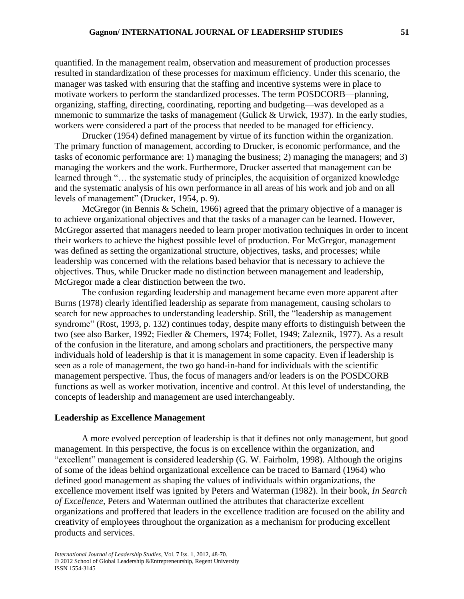quantified. In the management realm, observation and measurement of production processes resulted in standardization of these processes for maximum efficiency. Under this scenario, the manager was tasked with ensuring that the staffing and incentive systems were in place to motivate workers to perform the standardized processes. The term POSDCORB—planning, organizing, staffing, directing, coordinating, reporting and budgeting—was developed as a mnemonic to summarize the tasks of management (Gulick & Urwick, 1937). In the early studies, workers were considered a part of the process that needed to be managed for efficiency.

Drucker (1954) defined management by virtue of its function within the organization. The primary function of management, according to Drucker, is economic performance, and the tasks of economic performance are: 1) managing the business; 2) managing the managers; and 3) managing the workers and the work. Furthermore, Drucker asserted that management can be learned through "… the systematic study of principles, the acquisition of organized knowledge and the systematic analysis of his own performance in all areas of his work and job and on all levels of management" (Drucker, 1954, p. 9).

McGregor (in Bennis & Schein, 1966) agreed that the primary objective of a manager is to achieve organizational objectives and that the tasks of a manager can be learned. However, McGregor asserted that managers needed to learn proper motivation techniques in order to incent their workers to achieve the highest possible level of production. For McGregor, management was defined as setting the organizational structure, objectives, tasks, and processes; while leadership was concerned with the relations based behavior that is necessary to achieve the objectives. Thus, while Drucker made no distinction between management and leadership, McGregor made a clear distinction between the two.

The confusion regarding leadership and management became even more apparent after Burns (1978) clearly identified leadership as separate from management, causing scholars to search for new approaches to understanding leadership. Still, the "leadership as management syndrome" (Rost, 1993, p. 132) continues today, despite many efforts to distinguish between the two (see also Barker, 1992; Fiedler & Chemers, 1974; Follet, 1949; Zaleznik, 1977). As a result of the confusion in the literature, and among scholars and practitioners, the perspective many individuals hold of leadership is that it is management in some capacity. Even if leadership is seen as a role of management, the two go hand-in-hand for individuals with the scientific management perspective. Thus, the focus of managers and/or leaders is on the POSDCORB functions as well as worker motivation, incentive and control. At this level of understanding, the concepts of leadership and management are used interchangeably.

## **Leadership as Excellence Management**

A more evolved perception of leadership is that it defines not only management, but good management. In this perspective, the focus is on excellence within the organization, and "excellent" management is considered leadership (G. W. Fairholm, 1998). Although the origins of some of the ideas behind organizational excellence can be traced to Barnard (1964) who defined good management as shaping the values of individuals within organizations, the excellence movement itself was ignited by Peters and Waterman (1982). In their book, *In Search of Excellence,* Peters and Waterman outlined the attributes that characterize excellent organizations and proffered that leaders in the excellence tradition are focused on the ability and creativity of employees throughout the organization as a mechanism for producing excellent products and services.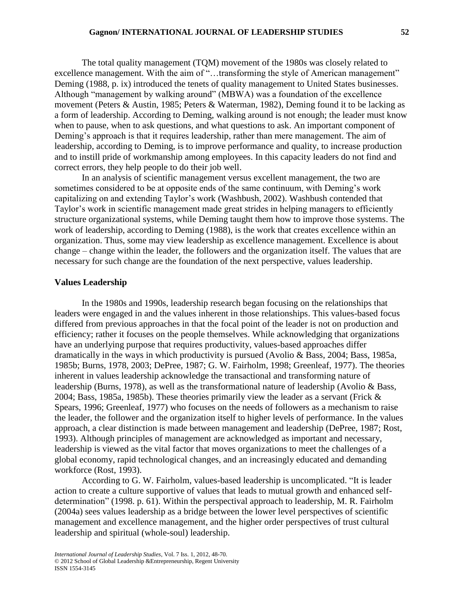The total quality management (TQM) movement of the 1980s was closely related to excellence management. With the aim of "...transforming the style of American management" Deming (1988, p. ix) introduced the tenets of quality management to United States businesses. Although "management by walking around" (MBWA) was a foundation of the excellence movement (Peters & Austin, 1985; Peters & Waterman, 1982), Deming found it to be lacking as a form of leadership. According to Deming, walking around is not enough; the leader must know when to pause, when to ask questions, and what questions to ask. An important component of Deming's approach is that it requires leadership, rather than mere management. The aim of leadership, according to Deming, is to improve performance and quality, to increase production and to instill pride of workmanship among employees. In this capacity leaders do not find and correct errors, they help people to do their job well.

In an analysis of scientific management versus excellent management, the two are sometimes considered to be at opposite ends of the same continuum, with Deming's work capitalizing on and extending Taylor's work (Washbush, 2002). Washbush contended that Taylor's work in scientific management made great strides in helping managers to efficiently structure organizational systems, while Deming taught them how to improve those systems. The work of leadership, according to Deming (1988), is the work that creates excellence within an organization. Thus, some may view leadership as excellence management. Excellence is about change – change within the leader, the followers and the organization itself. The values that are necessary for such change are the foundation of the next perspective, values leadership.

## **Values Leadership**

In the 1980s and 1990s, leadership research began focusing on the relationships that leaders were engaged in and the values inherent in those relationships. This values-based focus differed from previous approaches in that the focal point of the leader is not on production and efficiency; rather it focuses on the people themselves. While acknowledging that organizations have an underlying purpose that requires productivity, values-based approaches differ dramatically in the ways in which productivity is pursued (Avolio & Bass, 2004; Bass, 1985a, 1985b; Burns, 1978, 2003; DePree, 1987; G. W. Fairholm, 1998; Greenleaf, 1977). The theories inherent in values leadership acknowledge the transactional and transforming nature of leadership (Burns, 1978), as well as the transformational nature of leadership (Avolio & Bass, 2004; Bass, 1985a, 1985b). These theories primarily view the leader as a servant (Frick & Spears, 1996; Greenleaf, 1977) who focuses on the needs of followers as a mechanism to raise the leader, the follower and the organization itself to higher levels of performance. In the values approach, a clear distinction is made between management and leadership (DePree, 1987; Rost, 1993). Although principles of management are acknowledged as important and necessary, leadership is viewed as the vital factor that moves organizations to meet the challenges of a global economy, rapid technological changes, and an increasingly educated and demanding workforce (Rost, 1993).

According to G. W. Fairholm, values-based leadership is uncomplicated. "It is leader action to create a culture supportive of values that leads to mutual growth and enhanced selfdetermination" (1998. p. 61). Within the perspectival approach to leadership, M. R. Fairholm (2004a) sees values leadership as a bridge between the lower level perspectives of scientific management and excellence management, and the higher order perspectives of trust cultural leadership and spiritual (whole-soul) leadership.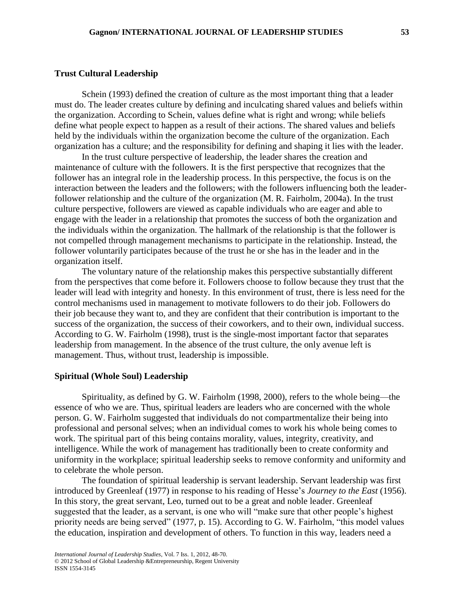#### **Trust Cultural Leadership**

Schein (1993) defined the creation of culture as the most important thing that a leader must do. The leader creates culture by defining and inculcating shared values and beliefs within the organization. According to Schein, values define what is right and wrong; while beliefs define what people expect to happen as a result of their actions. The shared values and beliefs held by the individuals within the organization become the culture of the organization. Each organization has a culture; and the responsibility for defining and shaping it lies with the leader.

In the trust culture perspective of leadership, the leader shares the creation and maintenance of culture with the followers. It is the first perspective that recognizes that the follower has an integral role in the leadership process. In this perspective, the focus is on the interaction between the leaders and the followers; with the followers influencing both the leaderfollower relationship and the culture of the organization (M. R. Fairholm, 2004a). In the trust culture perspective, followers are viewed as capable individuals who are eager and able to engage with the leader in a relationship that promotes the success of both the organization and the individuals within the organization. The hallmark of the relationship is that the follower is not compelled through management mechanisms to participate in the relationship. Instead, the follower voluntarily participates because of the trust he or she has in the leader and in the organization itself.

The voluntary nature of the relationship makes this perspective substantially different from the perspectives that come before it. Followers choose to follow because they trust that the leader will lead with integrity and honesty. In this environment of trust, there is less need for the control mechanisms used in management to motivate followers to do their job. Followers do their job because they want to, and they are confident that their contribution is important to the success of the organization, the success of their coworkers, and to their own, individual success. According to G. W. Fairholm (1998), trust is the single-most important factor that separates leadership from management. In the absence of the trust culture, the only avenue left is management. Thus, without trust, leadership is impossible.

## **Spiritual (Whole Soul) Leadership**

Spirituality, as defined by G. W. Fairholm (1998, 2000), refers to the whole being—the essence of who we are. Thus, spiritual leaders are leaders who are concerned with the whole person. G. W. Fairholm suggested that individuals do not compartmentalize their being into professional and personal selves; when an individual comes to work his whole being comes to work. The spiritual part of this being contains morality, values, integrity, creativity, and intelligence. While the work of management has traditionally been to create conformity and uniformity in the workplace; spiritual leadership seeks to remove conformity and uniformity and to celebrate the whole person.

The foundation of spiritual leadership is servant leadership. Servant leadership was first introduced by Greenleaf (1977) in response to his reading of Hesse's *Journey to the East* (1956). In this story, the great servant, Leo, turned out to be a great and noble leader. Greenleaf suggested that the leader, as a servant, is one who will "make sure that other people's highest priority needs are being served" (1977, p. 15). According to G. W. Fairholm, "this model values the education, inspiration and development of others. To function in this way, leaders need a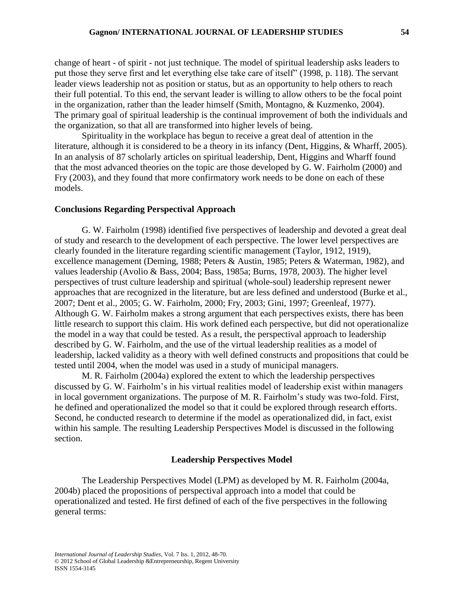change of heart - of spirit - not just technique. The model of spiritual leadership asks leaders to put those they serve first and let everything else take care of itself" (1998, p. 118). The servant leader views leadership not as position or status, but as an opportunity to help others to reach their full potential. To this end, the servant leader is willing to allow others to be the focal point in the organization, rather than the leader himself (Smith, Montagno, & Kuzmenko, 2004). The primary goal of spiritual leadership is the continual improvement of both the individuals and the organization, so that all are transformed into higher levels of being.

Spirituality in the workplace has begun to receive a great deal of attention in the literature, although it is considered to be a theory in its infancy (Dent, Higgins, & Wharff, 2005). In an analysis of 87 scholarly articles on spiritual leadership, Dent, Higgins and Wharff found that the most advanced theories on the topic are those developed by G. W. Fairholm (2000) and Fry (2003), and they found that more confirmatory work needs to be done on each of these models.

## **Conclusions Regarding Perspectival Approach**

G. W. Fairholm (1998) identified five perspectives of leadership and devoted a great deal of study and research to the development of each perspective. The lower level perspectives are clearly founded in the literature regarding scientific management (Taylor, 1912, 1919), excellence management (Deming, 1988; Peters & Austin, 1985; Peters & Waterman, 1982), and values leadership (Avolio & Bass, 2004; Bass, 1985a; Burns, 1978, 2003). The higher level perspectives of trust culture leadership and spiritual (whole-soul) leadership represent newer approaches that are recognized in the literature, but are less defined and understood (Burke et al., 2007; Dent et al., 2005; G. W. Fairholm, 2000; Fry, 2003; Gini, 1997; Greenleaf, 1977). Although G. W. Fairholm makes a strong argument that each perspectives exists, there has been little research to support this claim. His work defined each perspective, but did not operationalize the model in a way that could be tested. As a result, the perspectival approach to leadership described by G. W. Fairholm, and the use of the virtual leadership realities as a model of leadership, lacked validity as a theory with well defined constructs and propositions that could be tested until 2004, when the model was used in a study of municipal managers.

M. R. Fairholm (2004a) explored the extent to which the leadership perspectives discussed by G. W. Fairholm's in his virtual realities model of leadership exist within managers in local government organizations. The purpose of M. R. Fairholm's study was two-fold. First, he defined and operationalized the model so that it could be explored through research efforts. Second, he conducted research to determine if the model as operationalized did, in fact, exist within his sample. The resulting Leadership Perspectives Model is discussed in the following section.

## **Leadership Perspectives Model**

The Leadership Perspectives Model (LPM) as developed by M. R. Fairholm (2004a, 2004b) placed the propositions of perspectival approach into a model that could be operationalized and tested. He first defined of each of the five perspectives in the following general terms: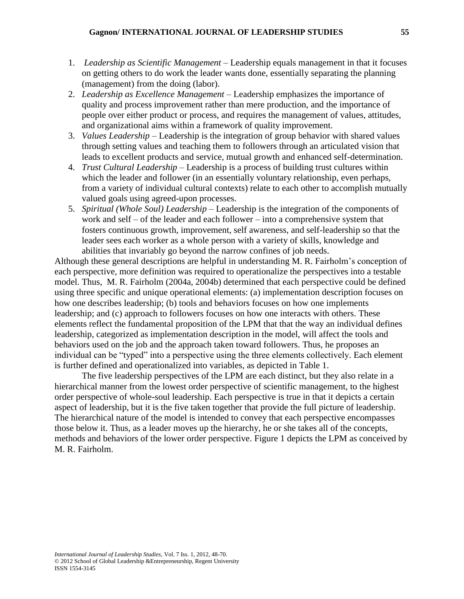- 1. *Leadership as Scientific Management*  Leadership equals management in that it focuses on getting others to do work the leader wants done, essentially separating the planning (management) from the doing (labor).
- 2. *Leadership as Excellence Management* Leadership emphasizes the importance of quality and process improvement rather than mere production, and the importance of people over either product or process, and requires the management of values, attitudes, and organizational aims within a framework of quality improvement.
- 3. *Values Leadership* Leadership is the integration of group behavior with shared values through setting values and teaching them to followers through an articulated vision that leads to excellent products and service, mutual growth and enhanced self-determination.
- 4. *Trust Cultural Leadership* Leadership is a process of building trust cultures within which the leader and follower (in an essentially voluntary relationship, even perhaps, from a variety of individual cultural contexts) relate to each other to accomplish mutually valued goals using agreed-upon processes.
- 5. *Spiritual (Whole Soul) Leadership* Leadership is the integration of the components of work and self – of the leader and each follower – into a comprehensive system that fosters continuous growth, improvement, self awareness, and self-leadership so that the leader sees each worker as a whole person with a variety of skills, knowledge and abilities that invariably go beyond the narrow confines of job needs.

Although these general descriptions are helpful in understanding M. R. Fairholm's conception of each perspective, more definition was required to operationalize the perspectives into a testable model. Thus, M. R. Fairholm (2004a, 2004b) determined that each perspective could be defined using three specific and unique operational elements: (a) implementation description focuses on how one describes leadership; (b) tools and behaviors focuses on how one implements leadership; and (c) approach to followers focuses on how one interacts with others. These elements reflect the fundamental proposition of the LPM that that the way an individual defines leadership, categorized as implementation description in the model, will affect the tools and behaviors used on the job and the approach taken toward followers. Thus, he proposes an individual can be "typed" into a perspective using the three elements collectively. Each element is further defined and operationalized into variables, as depicted in Table 1.

The five leadership perspectives of the LPM are each distinct, but they also relate in a hierarchical manner from the lowest order perspective of scientific management, to the highest order perspective of whole-soul leadership. Each perspective is true in that it depicts a certain aspect of leadership, but it is the five taken together that provide the full picture of leadership. The hierarchical nature of the model is intended to convey that each perspective encompasses those below it. Thus, as a leader moves up the hierarchy, he or she takes all of the concepts, methods and behaviors of the lower order perspective. Figure 1 depicts the LPM as conceived by M. R. Fairholm.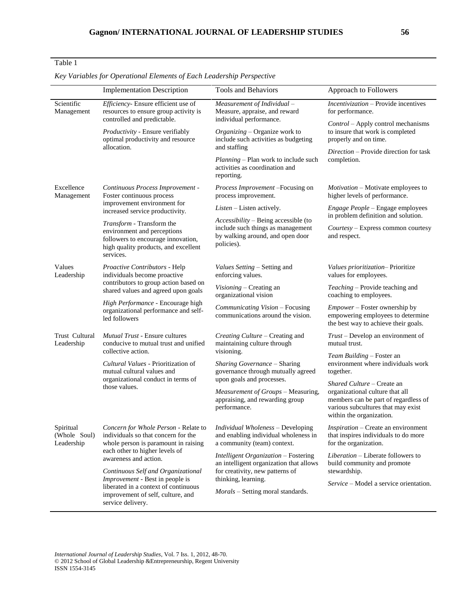## Table 1

|                                         | <b>Implementation Description</b>                                                                                                                                                                                                                                                                                                                         | <b>Tools and Behaviors</b>                                                                                                                                                            | Approach to Followers                                                                                                                                                                                                              |  |
|-----------------------------------------|-----------------------------------------------------------------------------------------------------------------------------------------------------------------------------------------------------------------------------------------------------------------------------------------------------------------------------------------------------------|---------------------------------------------------------------------------------------------------------------------------------------------------------------------------------------|------------------------------------------------------------------------------------------------------------------------------------------------------------------------------------------------------------------------------------|--|
| Scientific<br>Management                | Efficiency- Ensure efficient use of<br>resources to ensure group activity is<br>controlled and predictable.                                                                                                                                                                                                                                               | Measurement of Individual -<br>Measure, appraise, and reward<br>individual performance.                                                                                               | <i>Incentivization</i> – Provide incentives<br>for performance.<br>Control - Apply control mechanisms<br>to insure that work is completed<br>properly and on time.<br><i>Direction</i> – Provide direction for task<br>completion. |  |
|                                         | Productivity - Ensure verifiably<br>optimal productivity and resource<br>allocation.                                                                                                                                                                                                                                                                      | Organizing - Organize work to<br>include such activities as budgeting<br>and staffing                                                                                                 |                                                                                                                                                                                                                                    |  |
|                                         |                                                                                                                                                                                                                                                                                                                                                           | Planning - Plan work to include such<br>activities as coordination and<br>reporting.                                                                                                  |                                                                                                                                                                                                                                    |  |
| Excellence<br>Management                | Continuous Process Improvement -<br>Foster continuous process<br>improvement environment for<br>increased service productivity.                                                                                                                                                                                                                           | Process Improvement -Focusing on<br>process improvement.                                                                                                                              | <i>Motivation</i> – Motivate employees to<br>higher levels of performance.                                                                                                                                                         |  |
|                                         |                                                                                                                                                                                                                                                                                                                                                           | <i>Listen</i> – Listen actively.                                                                                                                                                      | <i>Engage People</i> – Engage employees                                                                                                                                                                                            |  |
|                                         | Transform - Transform the<br>environment and perceptions<br>followers to encourage innovation,<br>high quality products, and excellent<br>services.                                                                                                                                                                                                       | Accessibility – Being accessible (to<br>include such things as management<br>by walking around, and open door<br>policies).                                                           | in problem definition and solution.<br>Courtesy - Express common courtesy<br>and respect.                                                                                                                                          |  |
| Values<br>Leadership                    | Proactive Contributors - Help<br>individuals become proactive<br>contributors to group action based on<br>shared values and agreed upon goals<br>High Performance - Encourage high<br>organizational performance and self-<br>led followers                                                                                                               | <i>Values Setting</i> – Setting and<br>enforcing values.                                                                                                                              | Values prioritization-Prioritize<br>values for employees.                                                                                                                                                                          |  |
|                                         |                                                                                                                                                                                                                                                                                                                                                           | Visioning - Creating an<br>organizational vision                                                                                                                                      | Teaching - Provide teaching and<br>coaching to employees.                                                                                                                                                                          |  |
|                                         |                                                                                                                                                                                                                                                                                                                                                           | Communicating Vision - Focusing<br>communications around the vision.                                                                                                                  | Empower - Foster ownership by<br>empowering employees to determine<br>the best way to achieve their goals.                                                                                                                         |  |
| Trust Cultural<br>Leadership            | <b>Mutual Trust - Ensure cultures</b><br>conducive to mutual trust and unified<br>collective action.<br>Cultural Values - Prioritization of<br>mutual cultural values and<br>organizational conduct in terms of<br>those values.                                                                                                                          | Creating Culture - Creating and<br>maintaining culture through<br>visioning.<br>Sharing Governance - Sharing<br>governance through mutually agreed<br>upon goals and processes.       | Trust – Develop an environment of<br>mutual trust.                                                                                                                                                                                 |  |
|                                         |                                                                                                                                                                                                                                                                                                                                                           |                                                                                                                                                                                       | Team Building - Foster an<br>environment where individuals work<br>together.                                                                                                                                                       |  |
|                                         |                                                                                                                                                                                                                                                                                                                                                           |                                                                                                                                                                                       | Shared Culture - Create an                                                                                                                                                                                                         |  |
|                                         |                                                                                                                                                                                                                                                                                                                                                           | Measurement of Groups - Measuring,<br>appraising, and rewarding group<br>performance.                                                                                                 | organizational culture that all<br>members can be part of regardless of<br>various subcultures that may exist<br>within the organization.                                                                                          |  |
| Spiritual<br>(Whole Soul)<br>Leadership | Concern for Whole Person - Relate to<br>individuals so that concern for the<br>whole person is paramount in raising<br>each other to higher levels of<br>awareness and action.<br>Continuous Self and Organizational<br>Improvement - Best in people is<br>liberated in a context of continuous<br>improvement of self, culture, and<br>service delivery. | Individual Wholeness - Developing<br>and enabling individual wholeness in<br>a community (team) context.                                                                              | <i>Inspiration</i> – Create an environment<br>that inspires individuals to do more<br>for the organization.                                                                                                                        |  |
|                                         |                                                                                                                                                                                                                                                                                                                                                           | Intelligent Organization - Fostering<br>an intelligent organization that allows<br>for creativity, new patterns of<br>thinking, learning.<br><i>Morals</i> – Setting moral standards. | Liberation - Liberate followers to<br>build community and promote                                                                                                                                                                  |  |
|                                         |                                                                                                                                                                                                                                                                                                                                                           |                                                                                                                                                                                       | stewardship.<br><i>Service</i> – Model a service orientation.                                                                                                                                                                      |  |

*Key Variables for Operational Elements of Each Leadership Perspective*

*International Journal of Leadership Studies*, Vol. 7 Iss. 1, 2012, 48-70. © 2012 School of Global Leadership &Entrepreneurship, Regent University ISSN 1554-3145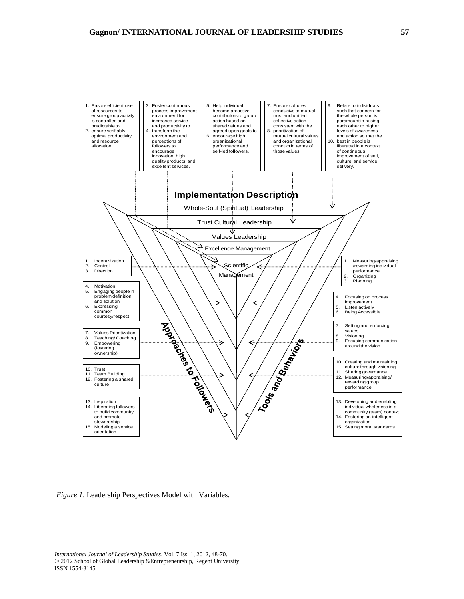

*Figure 1*. Leadership Perspectives Model with Variables.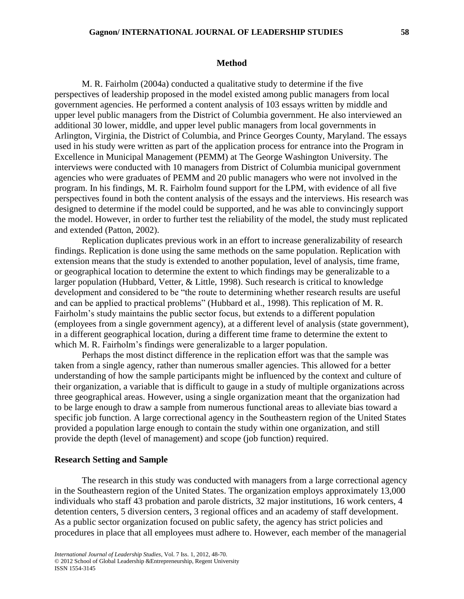#### **Method**

M. R. Fairholm (2004a) conducted a qualitative study to determine if the five perspectives of leadership proposed in the model existed among public managers from local government agencies. He performed a content analysis of 103 essays written by middle and upper level public managers from the District of Columbia government. He also interviewed an additional 30 lower, middle, and upper level public managers from local governments in Arlington, Virginia, the District of Columbia, and Prince Georges County, Maryland. The essays used in his study were written as part of the application process for entrance into the Program in Excellence in Municipal Management (PEMM) at The George Washington University. The interviews were conducted with 10 managers from District of Columbia municipal government agencies who were graduates of PEMM and 20 public managers who were not involved in the program. In his findings, M. R. Fairholm found support for the LPM, with evidence of all five perspectives found in both the content analysis of the essays and the interviews. His research was designed to determine if the model could be supported, and he was able to convincingly support the model. However, in order to further test the reliability of the model, the study must replicated and extended (Patton, 2002).

Replication duplicates previous work in an effort to increase generalizability of research findings. Replication is done using the same methods on the same population. Replication with extension means that the study is extended to another population, level of analysis, time frame, or geographical location to determine the extent to which findings may be generalizable to a larger population (Hubbard, Vetter, & Little, 1998). Such research is critical to knowledge development and considered to be "the route to determining whether research results are useful and can be applied to practical problems" (Hubbard et al., 1998). This replication of M. R. Fairholm's study maintains the public sector focus, but extends to a different population (employees from a single government agency), at a different level of analysis (state government), in a different geographical location, during a different time frame to determine the extent to which M. R. Fairholm's findings were generalizable to a larger population.

Perhaps the most distinct difference in the replication effort was that the sample was taken from a single agency, rather than numerous smaller agencies. This allowed for a better understanding of how the sample participants might be influenced by the context and culture of their organization, a variable that is difficult to gauge in a study of multiple organizations across three geographical areas. However, using a single organization meant that the organization had to be large enough to draw a sample from numerous functional areas to alleviate bias toward a specific job function. A large correctional agency in the Southeastern region of the United States provided a population large enough to contain the study within one organization, and still provide the depth (level of management) and scope (job function) required.

## **Research Setting and Sample**

The research in this study was conducted with managers from a large correctional agency in the Southeastern region of the United States. The organization employs approximately 13,000 individuals who staff 43 probation and parole districts, 32 major institutions, 16 work centers, 4 detention centers, 5 diversion centers, 3 regional offices and an academy of staff development. As a public sector organization focused on public safety, the agency has strict policies and procedures in place that all employees must adhere to. However, each member of the managerial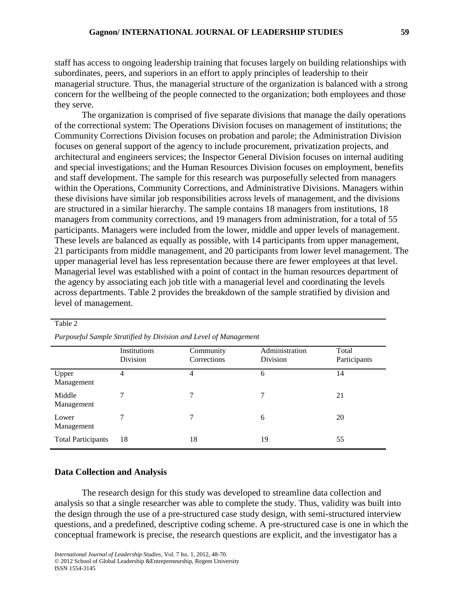staff has access to ongoing leadership training that focuses largely on building relationships with subordinates, peers, and superiors in an effort to apply principles of leadership to their managerial structure. Thus, the managerial structure of the organization is balanced with a strong concern for the wellbeing of the people connected to the organization; both employees and those they serve.

The organization is comprised of five separate divisions that manage the daily operations of the correctional system: The Operations Division focuses on management of institutions; the Community Corrections Division focuses on probation and parole; the Administration Division focuses on general support of the agency to include procurement, privatization projects, and architectural and engineers services; the Inspector General Division focuses on internal auditing and special investigations; and the Human Resources Division focuses on employment, benefits and staff development. The sample for this research was purposefully selected from managers within the Operations, Community Corrections, and Administrative Divisions. Managers within these divisions have similar job responsibilities across levels of management, and the divisions are structured in a similar hierarchy. The sample contains 18 managers from institutions, 18 managers from community corrections, and 19 managers from administration, for a total of 55 participants. Managers were included from the lower, middle and upper levels of management. These levels are balanced as equally as possible, with 14 participants from upper management, 21 participants from middle management, and 20 participants from lower level management. The upper managerial level has less representation because there are fewer employees at that level. Managerial level was established with a point of contact in the human resources department of the agency by associating each job title with a managerial level and coordinating the levels across departments. Table 2 provides the breakdown of the sample stratified by division and level of management.

|                           | Institutions<br>Division | Community<br>Corrections | Administration<br>Division | Total<br>Participants |  |  |
|---------------------------|--------------------------|--------------------------|----------------------------|-----------------------|--|--|
| Upper<br>Management       | 4                        | 4                        | 6                          | 14                    |  |  |
| Middle<br>Management      |                          |                          | 7                          | 21                    |  |  |
| Lower<br>Management       |                          |                          | 6                          | 20                    |  |  |
| <b>Total Participants</b> | 18                       | 18                       | 19                         | 55                    |  |  |

*Purposeful Sample Stratified by Division and Level of Management*

## **Data Collection and Analysis**

Table 2

The research design for this study was developed to streamline data collection and analysis so that a single researcher was able to complete the study. Thus, validity was built into the design through the use of a pre-structured case study design, with semi-structured interview questions, and a predefined, descriptive coding scheme. A pre-structured case is one in which the conceptual framework is precise, the research questions are explicit, and the investigator has a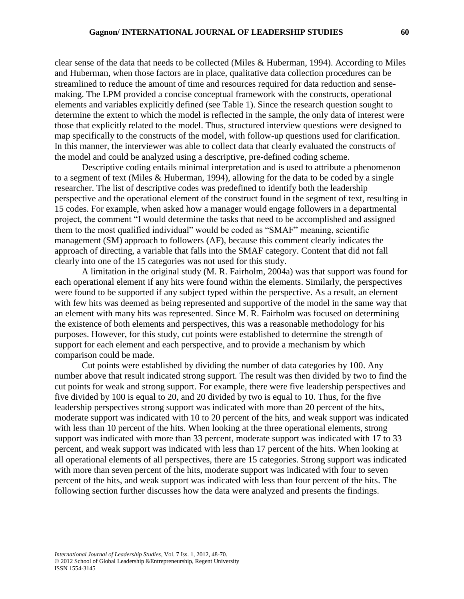clear sense of the data that needs to be collected (Miles & Huberman, 1994). According to Miles and Huberman, when those factors are in place, qualitative data collection procedures can be streamlined to reduce the amount of time and resources required for data reduction and sensemaking. The LPM provided a concise conceptual framework with the constructs, operational elements and variables explicitly defined (see Table 1). Since the research question sought to determine the extent to which the model is reflected in the sample, the only data of interest were those that explicitly related to the model. Thus, structured interview questions were designed to map specifically to the constructs of the model, with follow-up questions used for clarification. In this manner, the interviewer was able to collect data that clearly evaluated the constructs of the model and could be analyzed using a descriptive, pre-defined coding scheme.

Descriptive coding entails minimal interpretation and is used to attribute a phenomenon to a segment of text (Miles & Huberman, 1994), allowing for the data to be coded by a single researcher. The list of descriptive codes was predefined to identify both the leadership perspective and the operational element of the construct found in the segment of text, resulting in 15 codes. For example, when asked how a manager would engage followers in a departmental project, the comment "I would determine the tasks that need to be accomplished and assigned them to the most qualified individual" would be coded as "SMAF" meaning, scientific management (SM) approach to followers (AF), because this comment clearly indicates the approach of directing, a variable that falls into the SMAF category. Content that did not fall clearly into one of the 15 categories was not used for this study.

A limitation in the original study (M. R. Fairholm, 2004a) was that support was found for each operational element if any hits were found within the elements. Similarly, the perspectives were found to be supported if any subject typed within the perspective. As a result, an element with few hits was deemed as being represented and supportive of the model in the same way that an element with many hits was represented. Since M. R. Fairholm was focused on determining the existence of both elements and perspectives, this was a reasonable methodology for his purposes. However, for this study, cut points were established to determine the strength of support for each element and each perspective, and to provide a mechanism by which comparison could be made.

Cut points were established by dividing the number of data categories by 100. Any number above that result indicated strong support. The result was then divided by two to find the cut points for weak and strong support. For example, there were five leadership perspectives and five divided by 100 is equal to 20, and 20 divided by two is equal to 10. Thus, for the five leadership perspectives strong support was indicated with more than 20 percent of the hits, moderate support was indicated with 10 to 20 percent of the hits, and weak support was indicated with less than 10 percent of the hits. When looking at the three operational elements, strong support was indicated with more than 33 percent, moderate support was indicated with 17 to 33 percent, and weak support was indicated with less than 17 percent of the hits. When looking at all operational elements of all perspectives, there are 15 categories. Strong support was indicated with more than seven percent of the hits, moderate support was indicated with four to seven percent of the hits, and weak support was indicated with less than four percent of the hits. The following section further discusses how the data were analyzed and presents the findings.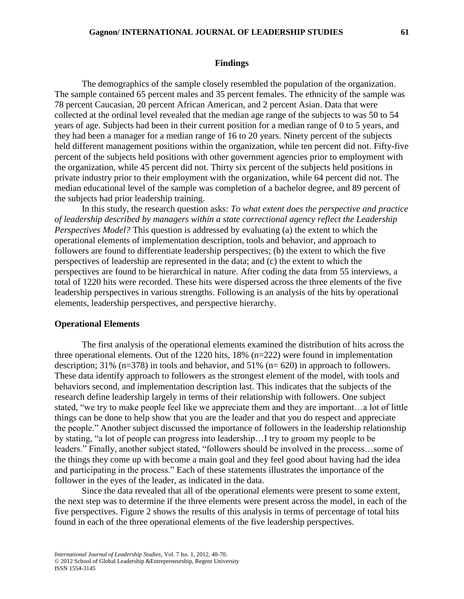#### **Findings**

The demographics of the sample closely resembled the population of the organization. The sample contained 65 percent males and 35 percent females. The ethnicity of the sample was 78 percent Caucasian, 20 percent African American, and 2 percent Asian. Data that were collected at the ordinal level revealed that the median age range of the subjects to was 50 to 54 years of age. Subjects had been in their current position for a median range of 0 to 5 years, and they had been a manager for a median range of 16 to 20 years. Ninety percent of the subjects held different management positions within the organization, while ten percent did not. Fifty-five percent of the subjects held positions with other government agencies prior to employment with the organization, while 45 percent did not. Thirty six percent of the subjects held positions in private industry prior to their employment with the organization, while 64 percent did not. The median educational level of the sample was completion of a bachelor degree, and 89 percent of the subjects had prior leadership training.

In this study, the research question asks: *To what extent does the perspective and practice of leadership described by managers within a state correctional agency reflect the Leadership Perspectives Model?* This question is addressed by evaluating (a) the extent to which the operational elements of implementation description, tools and behavior, and approach to followers are found to differentiate leadership perspectives; (b) the extent to which the five perspectives of leadership are represented in the data; and (c) the extent to which the perspectives are found to be hierarchical in nature. After coding the data from 55 interviews, a total of 1220 hits were recorded. These hits were dispersed across the three elements of the five leadership perspectives in various strengths. Following is an analysis of the hits by operational elements, leadership perspectives, and perspective hierarchy.

## **Operational Elements**

The first analysis of the operational elements examined the distribution of hits across the three operational elements. Out of the 1220 hits, 18% (n=222) were found in implementation description; 31% (n=378) in tools and behavior, and 51% (n= 620) in approach to followers. These data identify approach to followers as the strongest element of the model, with tools and behaviors second, and implementation description last. This indicates that the subjects of the research define leadership largely in terms of their relationship with followers. One subject stated, "we try to make people feel like we appreciate them and they are important…a lot of little things can be done to help show that you are the leader and that you do respect and appreciate the people." Another subject discussed the importance of followers in the leadership relationship by stating, "a lot of people can progress into leadership…I try to groom my people to be leaders." Finally, another subject stated, "followers should be involved in the process…some of the things they come up with become a main goal and they feel good about having had the idea and participating in the process." Each of these statements illustrates the importance of the follower in the eyes of the leader, as indicated in the data.

Since the data revealed that all of the operational elements were present to some extent, the next step was to determine if the three elements were present across the model, in each of the five perspectives. Figure 2 shows the results of this analysis in terms of percentage of total hits found in each of the three operational elements of the five leadership perspectives.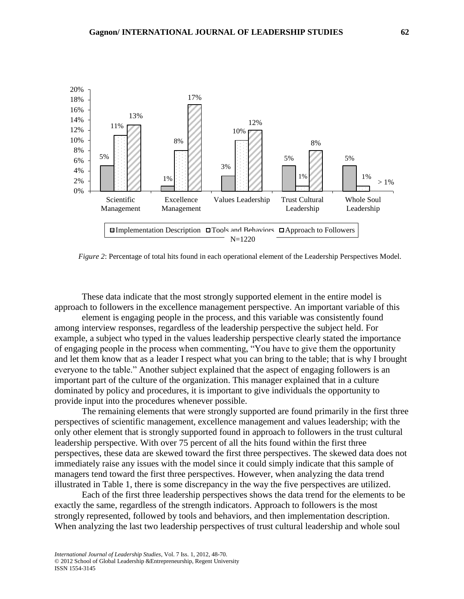

*Figure 2*: Percentage of total hits found in each operational element of the Leadership Perspectives Model.

These data indicate that the most strongly supported element in the entire model is approach to followers in the excellence management perspective. An important variable of this

element is engaging people in the process, and this variable was consistently found among interview responses, regardless of the leadership perspective the subject held. For example, a subject who typed in the values leadership perspective clearly stated the importance of engaging people in the process when commenting, "You have to give them the opportunity and let them know that as a leader I respect what you can bring to the table; that is why I brought everyone to the table." Another subject explained that the aspect of engaging followers is an important part of the culture of the organization. This manager explained that in a culture dominated by policy and procedures, it is important to give individuals the opportunity to provide input into the procedures whenever possible.

The remaining elements that were strongly supported are found primarily in the first three perspectives of scientific management, excellence management and values leadership; with the only other element that is strongly supported found in approach to followers in the trust cultural leadership perspective. With over 75 percent of all the hits found within the first three perspectives, these data are skewed toward the first three perspectives. The skewed data does not immediately raise any issues with the model since it could simply indicate that this sample of managers tend toward the first three perspectives. However, when analyzing the data trend illustrated in Table 1, there is some discrepancy in the way the five perspectives are utilized.

Each of the first three leadership perspectives shows the data trend for the elements to be exactly the same, regardless of the strength indicators. Approach to followers is the most strongly represented, followed by tools and behaviors, and then implementation description. When analyzing the last two leadership perspectives of trust cultural leadership and whole soul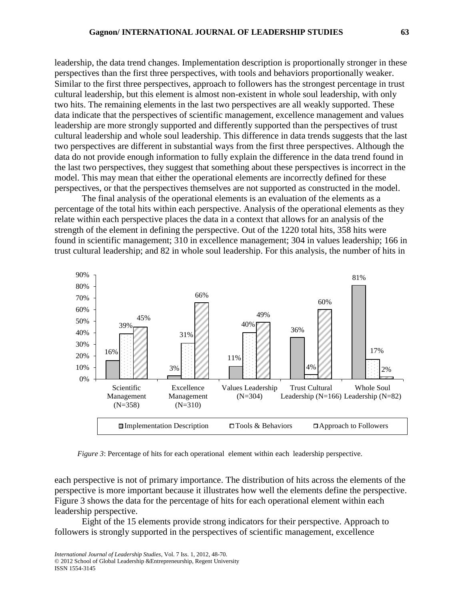leadership, the data trend changes. Implementation description is proportionally stronger in these perspectives than the first three perspectives, with tools and behaviors proportionally weaker. Similar to the first three perspectives, approach to followers has the strongest percentage in trust cultural leadership, but this element is almost non-existent in whole soul leadership, with only two hits. The remaining elements in the last two perspectives are all weakly supported. These data indicate that the perspectives of scientific management, excellence management and values leadership are more strongly supported and differently supported than the perspectives of trust cultural leadership and whole soul leadership. This difference in data trends suggests that the last two perspectives are different in substantial ways from the first three perspectives. Although the data do not provide enough information to fully explain the difference in the data trend found in the last two perspectives, they suggest that something about these perspectives is incorrect in the model. This may mean that either the operational elements are incorrectly defined for these perspectives, or that the perspectives themselves are not supported as constructed in the model.

The final analysis of the operational elements is an evaluation of the elements as a percentage of the total hits within each perspective. Analysis of the operational elements as they relate within each perspective places the data in a context that allows for an analysis of the strength of the element in defining the perspective. Out of the 1220 total hits, 358 hits were found in scientific management; 310 in excellence management; 304 in values leadership; 166 in trust cultural leadership; and 82 in whole soul leadership. For this analysis, the number of hits in



*Figure 3*: Percentage of hits for each operational element within each leadership perspective.

each perspective is not of primary importance. The distribution of hits across the elements of the perspective is more important because it illustrates how well the elements define the perspective. Figure 3 shows the data for the percentage of hits for each operational element within each leadership perspective.

Eight of the 15 elements provide strong indicators for their perspective. Approach to followers is strongly supported in the perspectives of scientific management, excellence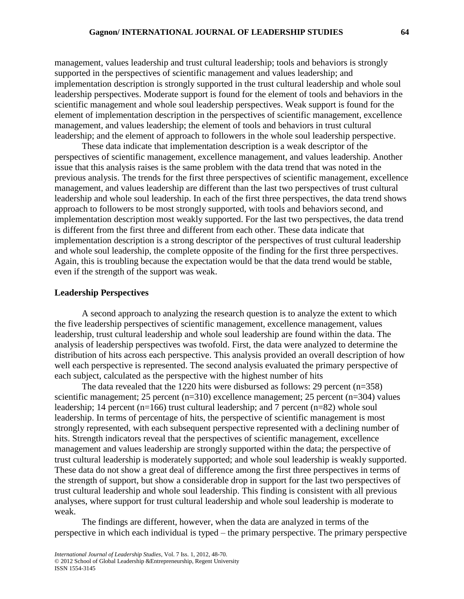management, values leadership and trust cultural leadership; tools and behaviors is strongly supported in the perspectives of scientific management and values leadership; and implementation description is strongly supported in the trust cultural leadership and whole soul leadership perspectives. Moderate support is found for the element of tools and behaviors in the scientific management and whole soul leadership perspectives. Weak support is found for the element of implementation description in the perspectives of scientific management, excellence management, and values leadership; the element of tools and behaviors in trust cultural leadership; and the element of approach to followers in the whole soul leadership perspective.

These data indicate that implementation description is a weak descriptor of the perspectives of scientific management, excellence management, and values leadership. Another issue that this analysis raises is the same problem with the data trend that was noted in the previous analysis. The trends for the first three perspectives of scientific management, excellence management, and values leadership are different than the last two perspectives of trust cultural leadership and whole soul leadership. In each of the first three perspectives, the data trend shows approach to followers to be most strongly supported, with tools and behaviors second, and implementation description most weakly supported. For the last two perspectives, the data trend is different from the first three and different from each other. These data indicate that implementation description is a strong descriptor of the perspectives of trust cultural leadership and whole soul leadership, the complete opposite of the finding for the first three perspectives. Again, this is troubling because the expectation would be that the data trend would be stable, even if the strength of the support was weak.

## **Leadership Perspectives**

A second approach to analyzing the research question is to analyze the extent to which the five leadership perspectives of scientific management, excellence management, values leadership, trust cultural leadership and whole soul leadership are found within the data. The analysis of leadership perspectives was twofold. First, the data were analyzed to determine the distribution of hits across each perspective. This analysis provided an overall description of how well each perspective is represented. The second analysis evaluated the primary perspective of each subject, calculated as the perspective with the highest number of hits

The data revealed that the 1220 hits were disbursed as follows: 29 percent (n=358) scientific management; 25 percent (n=310) excellence management; 25 percent (n=304) values leadership; 14 percent (n=166) trust cultural leadership; and 7 percent (n=82) whole soul leadership. In terms of percentage of hits, the perspective of scientific management is most strongly represented, with each subsequent perspective represented with a declining number of hits. Strength indicators reveal that the perspectives of scientific management, excellence management and values leadership are strongly supported within the data; the perspective of trust cultural leadership is moderately supported; and whole soul leadership is weakly supported. These data do not show a great deal of difference among the first three perspectives in terms of the strength of support, but show a considerable drop in support for the last two perspectives of trust cultural leadership and whole soul leadership. This finding is consistent with all previous analyses, where support for trust cultural leadership and whole soul leadership is moderate to weak.

The findings are different, however, when the data are analyzed in terms of the perspective in which each individual is typed – the primary perspective. The primary perspective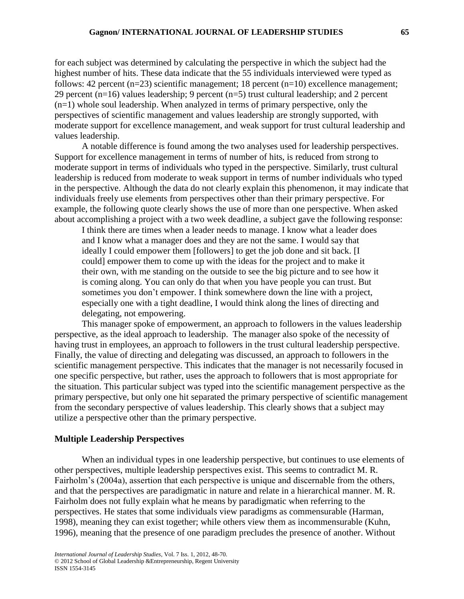for each subject was determined by calculating the perspective in which the subject had the highest number of hits. These data indicate that the 55 individuals interviewed were typed as follows: 42 percent  $(n=23)$  scientific management; 18 percent  $(n=10)$  excellence management; 29 percent (n=16) values leadership; 9 percent (n=5) trust cultural leadership; and 2 percent (n=1) whole soul leadership. When analyzed in terms of primary perspective, only the perspectives of scientific management and values leadership are strongly supported, with moderate support for excellence management, and weak support for trust cultural leadership and values leadership.

A notable difference is found among the two analyses used for leadership perspectives. Support for excellence management in terms of number of hits, is reduced from strong to moderate support in terms of individuals who typed in the perspective. Similarly, trust cultural leadership is reduced from moderate to weak support in terms of number individuals who typed in the perspective. Although the data do not clearly explain this phenomenon, it may indicate that individuals freely use elements from perspectives other than their primary perspective. For example, the following quote clearly shows the use of more than one perspective. When asked about accomplishing a project with a two week deadline, a subject gave the following response:

I think there are times when a leader needs to manage. I know what a leader does and I know what a manager does and they are not the same. I would say that ideally I could empower them [followers] to get the job done and sit back. [I could] empower them to come up with the ideas for the project and to make it their own, with me standing on the outside to see the big picture and to see how it is coming along. You can only do that when you have people you can trust. But sometimes you don't empower. I think somewhere down the line with a project, especially one with a tight deadline, I would think along the lines of directing and delegating, not empowering.

This manager spoke of empowerment, an approach to followers in the values leadership perspective, as the ideal approach to leadership. The manager also spoke of the necessity of having trust in employees, an approach to followers in the trust cultural leadership perspective. Finally, the value of directing and delegating was discussed, an approach to followers in the scientific management perspective. This indicates that the manager is not necessarily focused in one specific perspective, but rather, uses the approach to followers that is most appropriate for the situation. This particular subject was typed into the scientific management perspective as the primary perspective, but only one hit separated the primary perspective of scientific management from the secondary perspective of values leadership. This clearly shows that a subject may utilize a perspective other than the primary perspective.

## **Multiple Leadership Perspectives**

When an individual types in one leadership perspective, but continues to use elements of other perspectives, multiple leadership perspectives exist. This seems to contradict M. R. Fairholm's (2004a), assertion that each perspective is unique and discernable from the others, and that the perspectives are paradigmatic in nature and relate in a hierarchical manner. M. R. Fairholm does not fully explain what he means by paradigmatic when referring to the perspectives. He states that some individuals view paradigms as commensurable (Harman, 1998), meaning they can exist together; while others view them as incommensurable (Kuhn, 1996), meaning that the presence of one paradigm precludes the presence of another. Without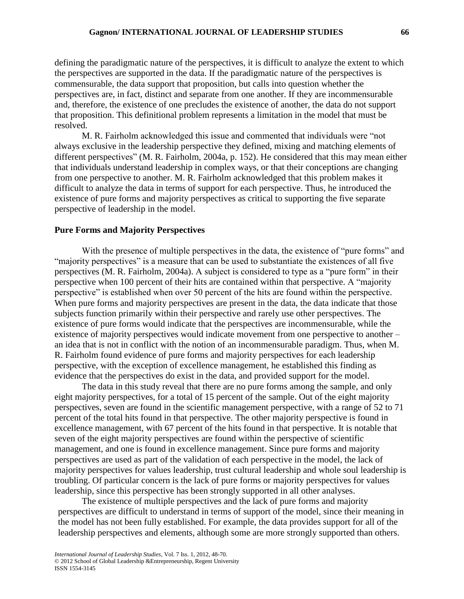defining the paradigmatic nature of the perspectives, it is difficult to analyze the extent to which the perspectives are supported in the data. If the paradigmatic nature of the perspectives is commensurable, the data support that proposition, but calls into question whether the perspectives are, in fact, distinct and separate from one another. If they are incommensurable and, therefore, the existence of one precludes the existence of another, the data do not support that proposition. This definitional problem represents a limitation in the model that must be resolved.

M. R. Fairholm acknowledged this issue and commented that individuals were "not always exclusive in the leadership perspective they defined, mixing and matching elements of different perspectives" (M. R. Fairholm, 2004a, p. 152). He considered that this may mean either that individuals understand leadership in complex ways, or that their conceptions are changing from one perspective to another. M. R. Fairholm acknowledged that this problem makes it difficult to analyze the data in terms of support for each perspective. Thus, he introduced the existence of pure forms and majority perspectives as critical to supporting the five separate perspective of leadership in the model.

## **Pure Forms and Majority Perspectives**

With the presence of multiple perspectives in the data, the existence of "pure forms" and "majority perspectives" is a measure that can be used to substantiate the existences of all five perspectives (M. R. Fairholm, 2004a). A subject is considered to type as a "pure form" in their perspective when 100 percent of their hits are contained within that perspective. A "majority perspective" is established when over 50 percent of the hits are found within the perspective. When pure forms and majority perspectives are present in the data, the data indicate that those subjects function primarily within their perspective and rarely use other perspectives. The existence of pure forms would indicate that the perspectives are incommensurable, while the existence of majority perspectives would indicate movement from one perspective to another – an idea that is not in conflict with the notion of an incommensurable paradigm. Thus, when M. R. Fairholm found evidence of pure forms and majority perspectives for each leadership perspective, with the exception of excellence management, he established this finding as evidence that the perspectives do exist in the data, and provided support for the model.

The data in this study reveal that there are no pure forms among the sample, and only eight majority perspectives, for a total of 15 percent of the sample. Out of the eight majority perspectives, seven are found in the scientific management perspective, with a range of 52 to 71 percent of the total hits found in that perspective. The other majority perspective is found in excellence management, with 67 percent of the hits found in that perspective. It is notable that seven of the eight majority perspectives are found within the perspective of scientific management, and one is found in excellence management. Since pure forms and majority perspectives are used as part of the validation of each perspective in the model, the lack of majority perspectives for values leadership, trust cultural leadership and whole soul leadership is troubling. Of particular concern is the lack of pure forms or majority perspectives for values leadership, since this perspective has been strongly supported in all other analyses.

The existence of multiple perspectives and the lack of pure forms and majority perspectives are difficult to understand in terms of support of the model, since their meaning in the model has not been fully established. For example, the data provides support for all of the leadership perspectives and elements, although some are more strongly supported than others.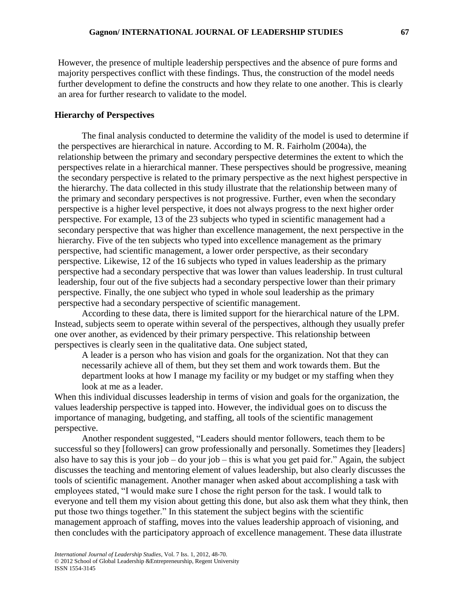However, the presence of multiple leadership perspectives and the absence of pure forms and majority perspectives conflict with these findings. Thus, the construction of the model needs further development to define the constructs and how they relate to one another. This is clearly an area for further research to validate to the model.

## **Hierarchy of Perspectives**

The final analysis conducted to determine the validity of the model is used to determine if the perspectives are hierarchical in nature. According to M. R. Fairholm (2004a), the relationship between the primary and secondary perspective determines the extent to which the perspectives relate in a hierarchical manner. These perspectives should be progressive, meaning the secondary perspective is related to the primary perspective as the next highest perspective in the hierarchy. The data collected in this study illustrate that the relationship between many of the primary and secondary perspectives is not progressive. Further, even when the secondary perspective is a higher level perspective, it does not always progress to the next higher order perspective. For example, 13 of the 23 subjects who typed in scientific management had a secondary perspective that was higher than excellence management, the next perspective in the hierarchy. Five of the ten subjects who typed into excellence management as the primary perspective, had scientific management, a lower order perspective, as their secondary perspective. Likewise, 12 of the 16 subjects who typed in values leadership as the primary perspective had a secondary perspective that was lower than values leadership. In trust cultural leadership, four out of the five subjects had a secondary perspective lower than their primary perspective. Finally, the one subject who typed in whole soul leadership as the primary perspective had a secondary perspective of scientific management.

According to these data, there is limited support for the hierarchical nature of the LPM. Instead, subjects seem to operate within several of the perspectives, although they usually prefer one over another, as evidenced by their primary perspective. This relationship between perspectives is clearly seen in the qualitative data. One subject stated,

A leader is a person who has vision and goals for the organization. Not that they can necessarily achieve all of them, but they set them and work towards them. But the department looks at how I manage my facility or my budget or my staffing when they look at me as a leader.

When this individual discusses leadership in terms of vision and goals for the organization, the values leadership perspective is tapped into. However, the individual goes on to discuss the importance of managing, budgeting, and staffing, all tools of the scientific management perspective.

Another respondent suggested, "Leaders should mentor followers, teach them to be successful so they [followers] can grow professionally and personally. Sometimes they [leaders] also have to say this is your job – do your job – this is what you get paid for." Again, the subject discusses the teaching and mentoring element of values leadership, but also clearly discusses the tools of scientific management. Another manager when asked about accomplishing a task with employees stated, "I would make sure I chose the right person for the task. I would talk to everyone and tell them my vision about getting this done, but also ask them what they think, then put those two things together." In this statement the subject begins with the scientific management approach of staffing, moves into the values leadership approach of visioning, and then concludes with the participatory approach of excellence management. These data illustrate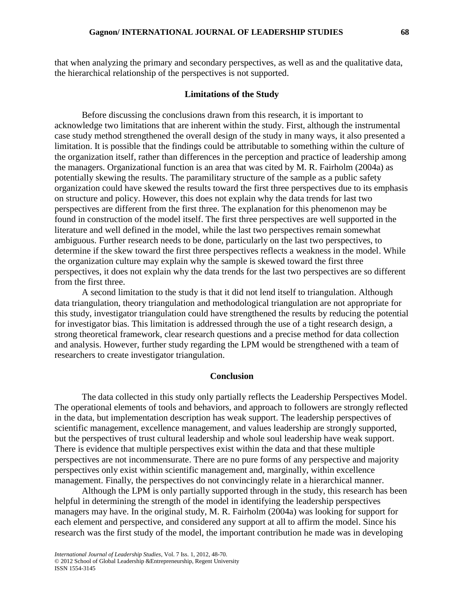that when analyzing the primary and secondary perspectives, as well as and the qualitative data, the hierarchical relationship of the perspectives is not supported.

#### **Limitations of the Study**

Before discussing the conclusions drawn from this research, it is important to acknowledge two limitations that are inherent within the study. First, although the instrumental case study method strengthened the overall design of the study in many ways, it also presented a limitation. It is possible that the findings could be attributable to something within the culture of the organization itself, rather than differences in the perception and practice of leadership among the managers. Organizational function is an area that was cited by M. R. Fairholm (2004a) as potentially skewing the results. The paramilitary structure of the sample as a public safety organization could have skewed the results toward the first three perspectives due to its emphasis on structure and policy. However, this does not explain why the data trends for last two perspectives are different from the first three. The explanation for this phenomenon may be found in construction of the model itself. The first three perspectives are well supported in the literature and well defined in the model, while the last two perspectives remain somewhat ambiguous. Further research needs to be done, particularly on the last two perspectives, to determine if the skew toward the first three perspectives reflects a weakness in the model. While the organization culture may explain why the sample is skewed toward the first three perspectives, it does not explain why the data trends for the last two perspectives are so different from the first three.

A second limitation to the study is that it did not lend itself to triangulation. Although data triangulation, theory triangulation and methodological triangulation are not appropriate for this study, investigator triangulation could have strengthened the results by reducing the potential for investigator bias. This limitation is addressed through the use of a tight research design, a strong theoretical framework, clear research questions and a precise method for data collection and analysis. However, further study regarding the LPM would be strengthened with a team of researchers to create investigator triangulation.

## **Conclusion**

The data collected in this study only partially reflects the Leadership Perspectives Model. The operational elements of tools and behaviors, and approach to followers are strongly reflected in the data, but implementation description has weak support. The leadership perspectives of scientific management, excellence management, and values leadership are strongly supported, but the perspectives of trust cultural leadership and whole soul leadership have weak support. There is evidence that multiple perspectives exist within the data and that these multiple perspectives are not incommensurate. There are no pure forms of any perspective and majority perspectives only exist within scientific management and, marginally, within excellence management. Finally, the perspectives do not convincingly relate in a hierarchical manner.

Although the LPM is only partially supported through in the study, this research has been helpful in determining the strength of the model in identifying the leadership perspectives managers may have. In the original study, M. R. Fairholm (2004a) was looking for support for each element and perspective, and considered any support at all to affirm the model. Since his research was the first study of the model, the important contribution he made was in developing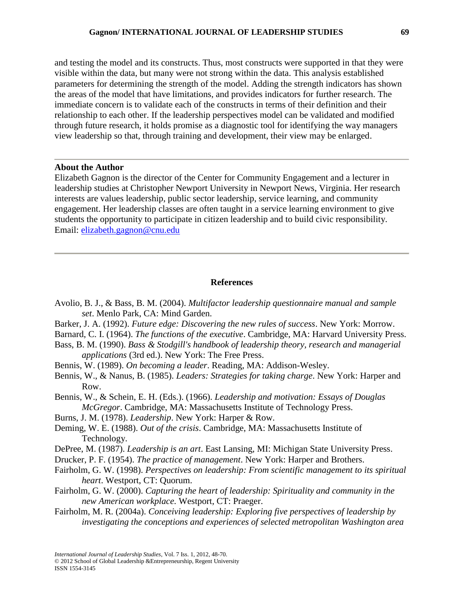and testing the model and its constructs. Thus, most constructs were supported in that they were visible within the data, but many were not strong within the data. This analysis established parameters for determining the strength of the model. Adding the strength indicators has shown the areas of the model that have limitations, and provides indicators for further research. The immediate concern is to validate each of the constructs in terms of their definition and their relationship to each other. If the leadership perspectives model can be validated and modified through future research, it holds promise as a diagnostic tool for identifying the way managers view leadership so that, through training and development, their view may be enlarged.

## **About the Author**

Elizabeth Gagnon is the director of the Center for Community Engagement and a lecturer in leadership studies at Christopher Newport University in Newport News, Virginia. Her research interests are values leadership, public sector leadership, service learning, and community engagement. Her leadership classes are often taught in a service learning environment to give students the opportunity to participate in citizen leadership and to build civic responsibility. Email: [elizabeth.gagnon@cnu.edu](mailto:elizabeth.gagnon@cnu.edu)

## **References**

- Avolio, B. J., & Bass, B. M. (2004). *Multifactor leadership questionnaire manual and sample set*. Menlo Park, CA: Mind Garden.
- Barker, J. A. (1992). *Future edge: Discovering the new rules of success*. New York: Morrow.
- Barnard, C. I. (1964). *The functions of the executive*. Cambridge, MA: Harvard University Press.
- Bass, B. M. (1990). *Bass & Stodgill's handbook of leadership theory, research and managerial applications* (3rd ed.). New York: The Free Press.
- Bennis, W. (1989). *On becoming a leader*. Reading, MA: Addison-Wesley.
- Bennis, W., & Nanus, B. (1985). *Leaders: Strategies for taking charge*. New York: Harper and Row.
- Bennis, W., & Schein, E. H. (Eds.). (1966). *Leadership and motivation: Essays of Douglas McGregor*. Cambridge, MA: Massachusetts Institute of Technology Press.
- Burns, J. M. (1978). *Leadership*. New York: Harper & Row.
- Deming, W. E. (1988). *Out of the crisis*. Cambridge, MA: Massachusetts Institute of Technology.
- DePree, M. (1987). *Leadership is an art*. East Lansing, MI: Michigan State University Press.
- Drucker, P. F. (1954). *The practice of management*. New York: Harper and Brothers.
- Fairholm, G. W. (1998). *Perspectives on leadership: From scientific management to its spiritual heart*. Westport, CT: Quorum.
- Fairholm, G. W. (2000). *Capturing the heart of leadership: Spirituality and community in the new American workplace.* Westport, CT: Praeger.
- Fairholm, M. R. (2004a). *Conceiving leadership: Exploring five perspectives of leadership by investigating the conceptions and experiences of selected metropolitan Washington area*